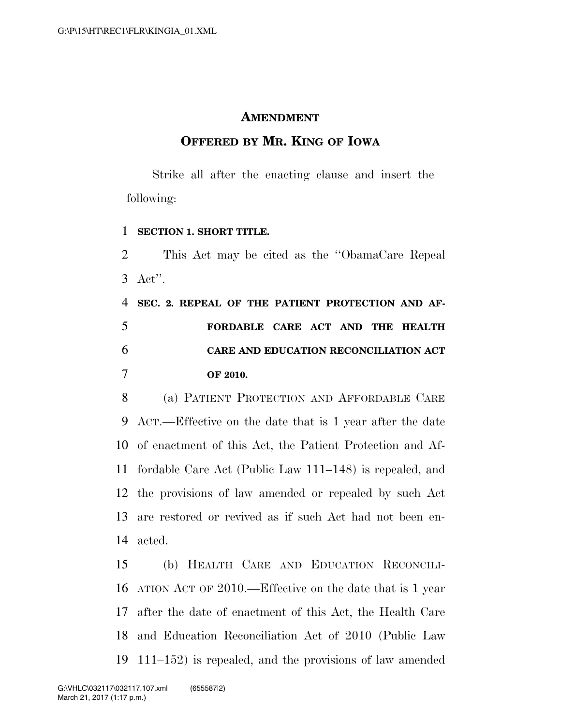## **AMENDMENT**

## **OFFERED BY MR. KING OF IOWA**

Strike all after the enacting clause and insert the following:

## **SECTION 1. SHORT TITLE.**

 This Act may be cited as the ''ObamaCare Repeal Act''.

 **SEC. 2. REPEAL OF THE PATIENT PROTECTION AND AF- FORDABLE CARE ACT AND THE HEALTH CARE AND EDUCATION RECONCILIATION ACT OF 2010.** 

 (a) PATIENT PROTECTION AND AFFORDABLE CARE ACT.—Effective on the date that is 1 year after the date of enactment of this Act, the Patient Protection and Af- fordable Care Act (Public Law 111–148) is repealed, and the provisions of law amended or repealed by such Act are restored or revived as if such Act had not been en-acted.

 (b) HEALTH CARE AND EDUCATION RECONCILI- ATION ACT OF 2010.—Effective on the date that is 1 year after the date of enactment of this Act, the Health Care and Education Reconciliation Act of 2010 (Public Law 111–152) is repealed, and the provisions of law amended